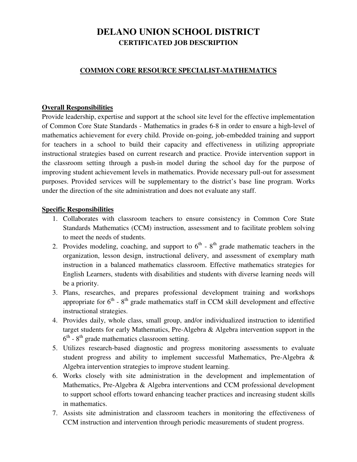# **DELANO UNION SCHOOL DISTRICT CERTIFICATED JOB DESCRIPTION**

### **COMMON CORE RESOURCE SPECIALIST-MATHEMATICS**

#### **Overall Responsibilities**

Provide leadership, expertise and support at the school site level for the effective implementation of Common Core State Standards - Mathematics in grades 6-8 in order to ensure a high-level of mathematics achievement for every child. Provide on-going, job-embedded training and support for teachers in a school to build their capacity and effectiveness in utilizing appropriate instructional strategies based on current research and practice. Provide intervention support in the classroom setting through a push-in model during the school day for the purpose of improving student achievement levels in mathematics. Provide necessary pull-out for assessment purposes. Provided services will be supplementary to the district's base line program. Works under the direction of the site administration and does not evaluate any staff.

#### **Specific Responsibilities**

- 1. Collaborates with classroom teachers to ensure consistency in Common Core State Standards Mathematics (CCM) instruction, assessment and to facilitate problem solving to meet the needs of students.
- 2. Provides modeling, coaching, and support to  $6<sup>th</sup>$   $8<sup>th</sup>$  grade mathematic teachers in the organization, lesson design, instructional delivery, and assessment of exemplary math instruction in a balanced mathematics classroom. Effective mathematics strategies for English Learners, students with disabilities and students with diverse learning needs will be a priority.
- 3. Plans, researches, and prepares professional development training and workshops appropriate for  $6<sup>th</sup>$  -  $8<sup>th</sup>$  grade mathematics staff in CCM skill development and effective instructional strategies.
- 4. Provides daily, whole class, small group, and/or individualized instruction to identified target students for early Mathematics, Pre-Algebra & Algebra intervention support in the  $6<sup>th</sup>$  -  $8<sup>th</sup>$  grade mathematics classroom setting.
- 5. Utilizes research-based diagnostic and progress monitoring assessments to evaluate student progress and ability to implement successful Mathematics, Pre-Algebra & Algebra intervention strategies to improve student learning.
- 6. Works closely with site administration in the development and implementation of Mathematics, Pre-Algebra & Algebra interventions and CCM professional development to support school efforts toward enhancing teacher practices and increasing student skills in mathematics.
- 7. Assists site administration and classroom teachers in monitoring the effectiveness of CCM instruction and intervention through periodic measurements of student progress.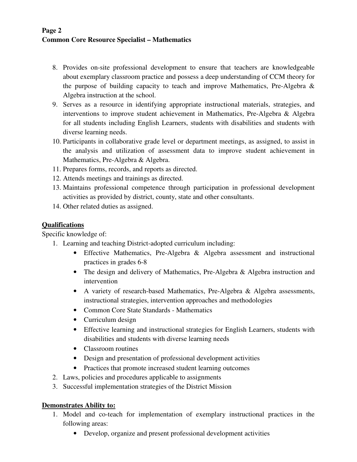## **Page 2 Common Core Resource Specialist – Mathematics**

- 8. Provides on-site professional development to ensure that teachers are knowledgeable about exemplary classroom practice and possess a deep understanding of CCM theory for the purpose of building capacity to teach and improve Mathematics, Pre-Algebra & Algebra instruction at the school.
- 9. Serves as a resource in identifying appropriate instructional materials, strategies, and interventions to improve student achievement in Mathematics, Pre-Algebra & Algebra for all students including English Learners, students with disabilities and students with diverse learning needs.
- 10. Participants in collaborative grade level or department meetings, as assigned, to assist in the analysis and utilization of assessment data to improve student achievement in Mathematics, Pre-Algebra & Algebra.
- 11. Prepares forms, records, and reports as directed.
- 12. Attends meetings and trainings as directed.
- 13. Maintains professional competence through participation in professional development activities as provided by district, county, state and other consultants.
- 14. Other related duties as assigned.

## **Qualifications**

Specific knowledge of:

- 1. Learning and teaching District-adopted curriculum including:
	- Effective Mathematics, Pre-Algebra & Algebra assessment and instructional practices in grades 6-8
	- The design and delivery of Mathematics, Pre-Algebra & Algebra instruction and intervention
	- A variety of research-based Mathematics, Pre-Algebra & Algebra assessments, instructional strategies, intervention approaches and methodologies
	- Common Core State Standards Mathematics
	- Curriculum design
	- Effective learning and instructional strategies for English Learners, students with disabilities and students with diverse learning needs
	- Classroom routines
	- Design and presentation of professional development activities
	- Practices that promote increased student learning outcomes
- 2. Laws, policies and procedures applicable to assignments
- 3. Successful implementation strategies of the District Mission

#### **Demonstrates Ability to:**

- 1. Model and co-teach for implementation of exemplary instructional practices in the following areas:
	- Develop, organize and present professional development activities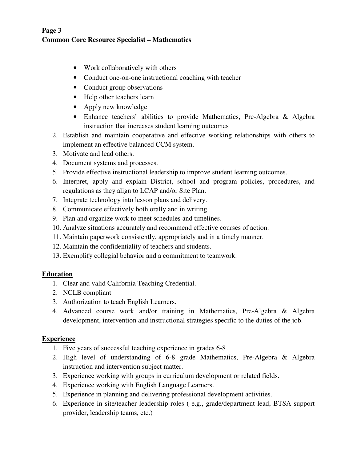## **Page 3 Common Core Resource Specialist – Mathematics**

- Work collaboratively with others
- Conduct one-on-one instructional coaching with teacher
- Conduct group observations
- Help other teachers learn
- Apply new knowledge
- Enhance teachers' abilities to provide Mathematics, Pre-Algebra & Algebra instruction that increases student learning outcomes
- 2. Establish and maintain cooperative and effective working relationships with others to implement an effective balanced CCM system.
- 3. Motivate and lead others.
- 4. Document systems and processes.
- 5. Provide effective instructional leadership to improve student learning outcomes.
- 6. Interpret, apply and explain District, school and program policies, procedures, and regulations as they align to LCAP and/or Site Plan.
- 7. Integrate technology into lesson plans and delivery.
- 8. Communicate effectively both orally and in writing.
- 9. Plan and organize work to meet schedules and timelines.
- 10. Analyze situations accurately and recommend effective courses of action.
- 11. Maintain paperwork consistently, appropriately and in a timely manner.
- 12. Maintain the confidentiality of teachers and students.
- 13. Exemplify collegial behavior and a commitment to teamwork.

## **Education**

- 1. Clear and valid California Teaching Credential.
- 2. NCLB compliant
- 3. Authorization to teach English Learners.
- 4. Advanced course work and/or training in Mathematics, Pre-Algebra & Algebra development, intervention and instructional strategies specific to the duties of the job.

#### **Experience**

- 1. Five years of successful teaching experience in grades 6-8
- 2. High level of understanding of 6-8 grade Mathematics, Pre-Algebra & Algebra instruction and intervention subject matter.
- 3. Experience working with groups in curriculum development or related fields.
- 4. Experience working with English Language Learners.
- 5. Experience in planning and delivering professional development activities.
- 6. Experience in site/teacher leadership roles ( e.g., grade/department lead, BTSA support provider, leadership teams, etc.)